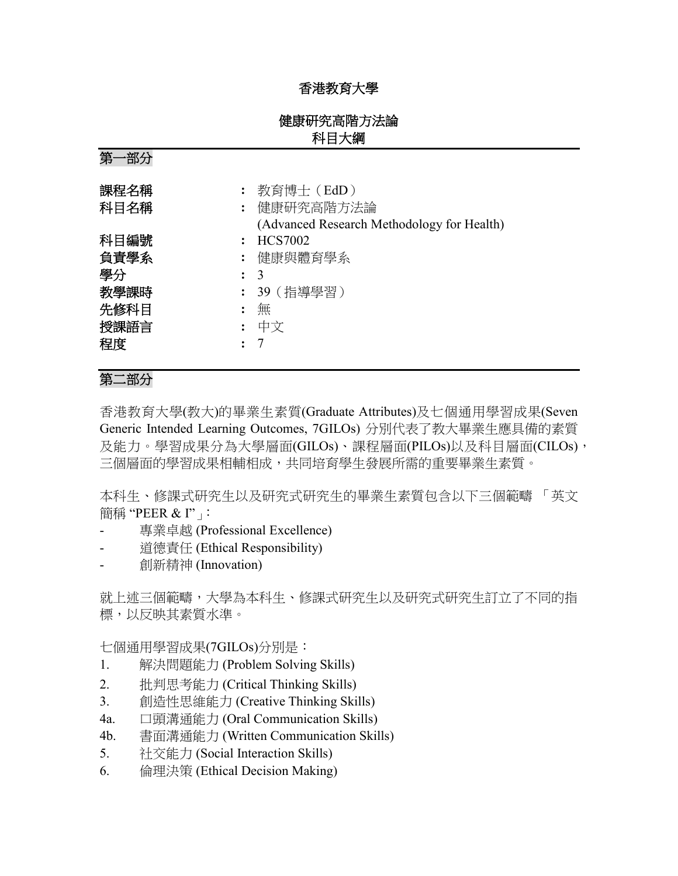## 香港教育大學

## 健康研究高階方法論 科目大綱

第一部分

| 課程名稱<br>科目名稱 | : 教育博士(EdD)<br>: 健康研究高階方法論<br>(Advanced Research Methodology for Health) |
|--------------|--------------------------------------------------------------------------|
| 科目編號         | : HCS7002                                                                |
| 負責學系         | : 健康與體育學系                                                                |
| 學分           | $\colon$ 3                                                               |
| 教學課時         | : 39(指導學習)                                                               |
| 先修科目         | 無                                                                        |
| 授課語言<br>程度   | 中文                                                                       |

# 第二部分

香港教育大學(教大)的畢業生素質(Graduate Attributes)及七個通用學習成果(Seven Generic Intended Learning Outcomes, 7GILOs) 分別代表了教大畢業生應具備的素質 及能力。學習成果分為大學層面(GILOs)、課程層面(PILOs)以及科目層面(CILOs), 三個層面的學習成果相輔相成,共同培育學生發展所需的重要畢業生素質。

本科生、修課式研究生以及研究式研究生的畢業生素質包含以下三個範疇 「英文 簡稱 "PEER & I"」:

- 專業卓越 (Professional Excellence)
- 道德責任 (Ethical Responsibility)
- 創新精神 (Innovation)

就上述三個範疇,大學為本科生、修課式研究生以及研究式研究生訂立了不同的指 標,以反映其素質水準。

七個通用學習成果(7GILOs)分別是:

- 1. 解決問題能力 (Problem Solving Skills)
- 2. 批判思考能力 (Critical Thinking Skills)
- 3. 創造性思維能力 (Creative Thinking Skills)
- 4a. 口頭溝通能力 (Oral Communication Skills)
- 4b. 書面溝通能力 (Written Communication Skills)
- 5. 社交能力 (Social Interaction Skills)
- 6. 倫理決策 (Ethical Decision Making)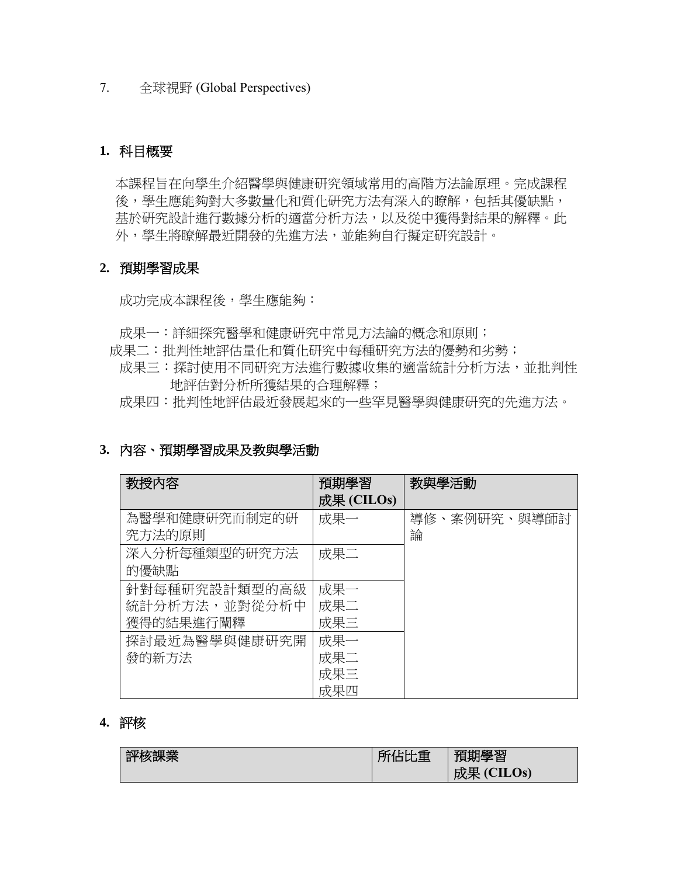7. 全球視野 (Global Perspectives)

## **1.** 科目概要

本課程旨在向學生介紹醫學與健康研究領域常用的高階方法論原理。完成課程 後,學生應能夠對大多數量化和質化研究方法有深入的瞭解,包括其優缺點, 基於研究設計進行數據分析的適當分析方法,以及從中獲得對結果的解釋。此 外,學生將瞭解最近開發的先進方法,並能夠自行擬定研究設計。

### **2.** 預期學習成果

成功完成本課程後,學生應能夠:

- 成果一:詳細探究醫學和健康研究中常見方法論的概念和原則;
- 成果二:批判性地評估量化和質化研究中每種研究方法的優勢和劣勢;
	- 成果三:探討使用不同研究方法進行數據收集的適當統計分析方法,並批判性 地評估對分析所獲結果的合理解釋;
	- 成果四:批判性地評估最近發展起來的一些罕見醫學與健康研究的先進方法。

### **3.** 內容、預期學習成果及教與學活動

| 教授内容          | 預期學習       | 教與學活動        |
|---------------|------------|--------------|
|               | 成果 (CILOs) |              |
| 為醫學和健康研究而制定的研 | 成果一        | 導修、案例研究、與導師討 |
| 究方法的原則        |            | 論            |
| 深入分析每種類型的研究方法 | 成果二        |              |
| 的優缺點          |            |              |
| 針對每種研究設計類型的高級 | 成果一        |              |
| 統計分析方法,並對從分析中 | 成果二        |              |
| 獲得的結果進行闡釋     | 成果三        |              |
| 探討最近為醫學與健康研究開 | 成果一        |              |
| 發的新方法         | 成果二        |              |
|               | 成果三        |              |
|               | 成果四        |              |

### **4.** 評核

| 評核課業 | 所佔比重 | 預期學習       |
|------|------|------------|
|      |      | 成果 (CILOs) |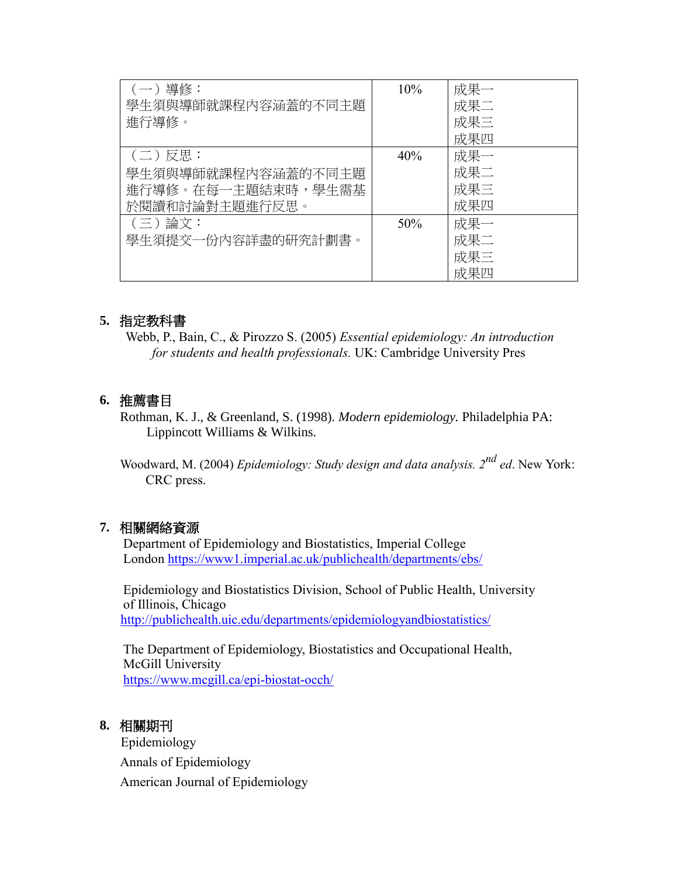| (一) 導修:            | 10% | 成果一 |
|--------------------|-----|-----|
| 學生須與導師就課程內容涵蓋的不同主題 |     | 成果二 |
| 進行導修。              |     | 成果三 |
|                    |     | 成果四 |
| (二)反思:             | 40% | 成果一 |
| 學生須與導師就課程內容涵蓋的不同主題 |     | 成果二 |
| 進行導修。在每一主題結束時,學生需基 |     | 成果三 |
| 於閱讀和討論對主題進行反思。     |     | 成果四 |
| (三)論文:             | 50% | 成果一 |
| 學生須提交一份內容詳盡的研究計劃書。 |     | 成果二 |
|                    |     | 成果三 |
|                    |     | 成果四 |

## **5.** 指定教科書

Webb, P., Bain, C., & Pirozzo S. (2005) *Essential epidemiology: An introduction for students and health professionals.* UK: Cambridge University Pres

## **6.** 推薦書目

Rothman, K. J., & Greenland, S. (1998). *Modern epidemiology.* Philadelphia PA: Lippincott Williams & Wilkins.

Woodward, M. (2004) *Epidemiology: Study design and data analysis. 2nd ed*. New York: CRC press.

## **7.** 相關網絡資源

Department of Epidemiology and Biostatistics, Imperial College London<https://www1.imperial.ac.uk/publichealth/departments/ebs/>

Epidemiology and Biostatistics Division, School of Public Health, University of Illinois, Chicago <http://publichealth.uic.edu/departments/epidemiologyandbiostatistics/>

The Department of Epidemiology, Biostatistics and Occupational Health, McGill University <https://www.mcgill.ca/epi-biostat-occh/>

### **8.** 相關期刊

 Epidemiology Annals of Epidemiology American Journal of Epidemiology